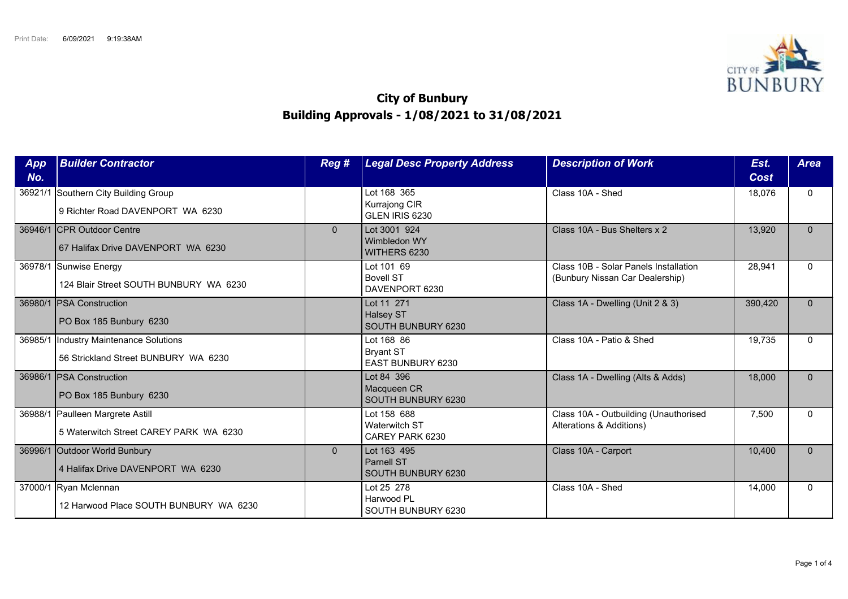

## **City of Bunbury Building Approvals - 1/08/2021 to 31/08/2021**

| App<br>No. | <b>Builder Contractor</b>                                                       | Reg #        | <b>Legal Desc Property Address</b>                         | <b>Description of Work</b>                                               | Est.<br>Cost | <b>Area</b> |
|------------|---------------------------------------------------------------------------------|--------------|------------------------------------------------------------|--------------------------------------------------------------------------|--------------|-------------|
|            | 36921/1 Southern City Building Group<br>9 Richter Road DAVENPORT WA 6230        |              | Lot 168 365<br>Kurrajong CIR<br>GLEN IRIS 6230             | Class 10A - Shed                                                         | 18,076       | $\Omega$    |
|            | 36946/1 CPR Outdoor Centre<br>67 Halifax Drive DAVENPORT WA 6230                | $\mathbf{0}$ | Lot 3001 924<br>Wimbledon WY<br>WITHERS 6230               | Class 10A - Bus Shelters x 2                                             | 13,920       | $\Omega$    |
|            | 36978/1 Sunwise Energy<br>124 Blair Street SOUTH BUNBURY WA 6230                |              | Lot 101 69<br><b>Bovell ST</b><br>DAVENPORT 6230           | Class 10B - Solar Panels Installation<br>(Bunbury Nissan Car Dealership) | 28,941       | $\Omega$    |
|            | 36980/1 PSA Construction<br>PO Box 185 Bunbury 6230                             |              | Lot 11 271<br><b>Halsey ST</b><br>SOUTH BUNBURY 6230       | Class 1A - Dwelling (Unit 2 & 3)                                         | 390,420      | $\Omega$    |
|            | 36985/1  Industry Maintenance Solutions<br>56 Strickland Street BUNBURY WA 6230 |              | Lot 168 86<br><b>Bryant ST</b><br><b>EAST BUNBURY 6230</b> | Class 10A - Patio & Shed                                                 | 19,735       | $\Omega$    |
|            | 36986/1 PSA Construction<br>PO Box 185 Bunbury 6230                             |              | Lot 84 396<br>Macqueen CR<br>SOUTH BUNBURY 6230            | Class 1A - Dwelling (Alts & Adds)                                        | 18,000       | $\Omega$    |
|            | 36988/1 Paulleen Margrete Astill<br>5 Waterwitch Street CAREY PARK WA 6230      |              | Lot 158 688<br>Waterwitch ST<br>CAREY PARK 6230            | Class 10A - Outbuilding (Unauthorised<br>Alterations & Additions)        | 7,500        | $\Omega$    |
|            | 36996/1 Outdoor World Bunbury<br>4 Halifax Drive DAVENPORT WA 6230              | $\Omega$     | Lot 163 495<br><b>Parnell ST</b><br>SOUTH BUNBURY 6230     | Class 10A - Carport                                                      | 10,400       | $\Omega$    |
|            | 37000/1 Ryan Mclennan<br>12 Harwood Place SOUTH BUNBURY WA 6230                 |              | Lot 25 278<br>Harwood PL<br>SOUTH BUNBURY 6230             | Class 10A - Shed                                                         | 14,000       | $\Omega$    |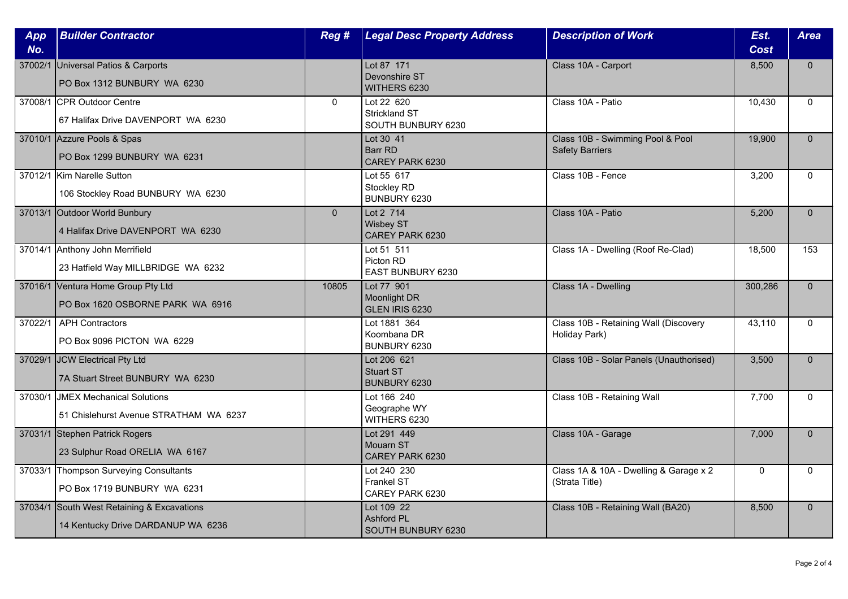| App<br>No. | <b>Builder Contractor</b>                                                        | Reg #          | <b>Legal Desc Property Address</b>                       | <b>Description of Work</b>                                 | Est.<br><b>Cost</b> | <b>Area</b>  |
|------------|----------------------------------------------------------------------------------|----------------|----------------------------------------------------------|------------------------------------------------------------|---------------------|--------------|
|            | 37002/1 Universal Patios & Carports<br>PO Box 1312 BUNBURY WA 6230               |                | Lot 87 171<br>Devonshire ST<br>WITHERS 6230              | Class 10A - Carport                                        | 8,500               | $\Omega$     |
|            | 37008/1 CPR Outdoor Centre<br>67 Halifax Drive DAVENPORT WA 6230                 | $\mathbf{0}$   | Lot 22 620<br><b>Strickland ST</b><br>SOUTH BUNBURY 6230 | Class 10A - Patio                                          | 10,430              | $\Omega$     |
|            | 37010/1 Azzure Pools & Spas<br>PO Box 1299 BUNBURY WA 6231                       |                | Lot 30 41<br><b>Barr RD</b><br>CAREY PARK 6230           | Class 10B - Swimming Pool & Pool<br><b>Safety Barriers</b> | 19,900              | $\Omega$     |
|            | 37012/1 Kim Narelle Sutton<br>106 Stockley Road BUNBURY WA 6230                  |                | Lot 55 617<br>Stockley RD<br>BUNBURY 6230                | Class 10B - Fence                                          | 3,200               | $\mathbf{0}$ |
|            | 37013/1 Outdoor World Bunbury<br>4 Halifax Drive DAVENPORT WA 6230               | $\overline{0}$ | Lot 2 714<br><b>Wisbey ST</b><br>CAREY PARK 6230         | Class 10A - Patio                                          | 5,200               | $\Omega$     |
|            | 37014/1 Anthony John Merrifield<br>23 Hatfield Way MILLBRIDGE WA 6232            |                | Lot 51 511<br>Picton RD<br>EAST BUNBURY 6230             | Class 1A - Dwelling (Roof Re-Clad)                         | 18,500              | 153          |
|            | 37016/1 Ventura Home Group Pty Ltd<br>PO Box 1620 OSBORNE PARK WA 6916           | 10805          | Lot 77 901<br>Moonlight DR<br>GLEN IRIS 6230             | Class 1A - Dwelling                                        | 300,286             | $\mathbf{0}$ |
| 37022/1    | <b>APH Contractors</b><br>PO Box 9096 PICTON WA 6229                             |                | Lot 1881 364<br>Koombana DR<br>BUNBURY 6230              | Class 10B - Retaining Wall (Discovery<br>Holiday Park)     | 43,110              | $\Omega$     |
|            | 37029/1 JCW Electrical Pty Ltd<br>7A Stuart Street BUNBURY WA 6230               |                | Lot 206 621<br>Stuart ST<br>BUNBURY 6230                 | Class 10B - Solar Panels (Unauthorised)                    | 3,500               | $\Omega$     |
|            | 37030/1 JMEX Mechanical Solutions<br>51 Chislehurst Avenue STRATHAM WA 6237      |                | Lot 166 240<br>Geographe WY<br>WITHERS 6230              | Class 10B - Retaining Wall                                 | 7,700               | $\Omega$     |
|            | 37031/1 Stephen Patrick Rogers<br>23 Sulphur Road ORELIA WA 6167                 |                | Lot 291 449<br>Mouarn ST<br>CAREY PARK 6230              | Class 10A - Garage                                         | 7,000               | $\Omega$     |
|            | 37033/1 Thompson Surveying Consultants<br>PO Box 1719 BUNBURY WA 6231            |                | Lot 240 230<br><b>Frankel ST</b><br>CAREY PARK 6230      | Class 1A & 10A - Dwelling & Garage x 2<br>(Strata Title)   | $\Omega$            | $\Omega$     |
|            | 37034/1 South West Retaining & Excavations<br>14 Kentucky Drive DARDANUP WA 6236 |                | Lot 109 22<br><b>Ashford PL</b><br>SOUTH BUNBURY 6230    | Class 10B - Retaining Wall (BA20)                          | 8,500               | $\Omega$     |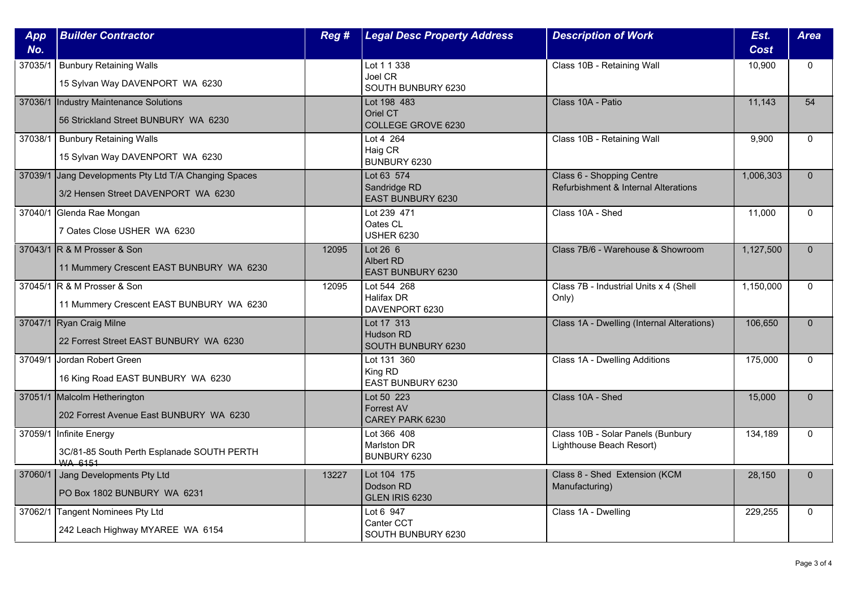| App<br>No. | <b>Builder Contractor</b>                                                                    | Reg # | <b>Legal Desc Property Address</b>                   | <b>Description of Work</b>                                        | Est.<br>Cost | <b>Area</b>  |
|------------|----------------------------------------------------------------------------------------------|-------|------------------------------------------------------|-------------------------------------------------------------------|--------------|--------------|
| 37035/1    | <b>Bunbury Retaining Walls</b><br>15 Sylvan Way DAVENPORT WA 6230                            |       | Lot 1 1 338<br>Joel CR<br>SOUTH BUNBURY 6230         | Class 10B - Retaining Wall                                        | 10,900       | $\Omega$     |
|            | 37036/1  Industry Maintenance Solutions<br>56 Strickland Street BUNBURY WA 6230              |       | Lot 198 483<br>Oriel CT<br><b>COLLEGE GROVE 6230</b> | Class 10A - Patio                                                 | 11,143       | 54           |
| 37038/1    | <b>Bunbury Retaining Walls</b><br>15 Sylvan Way DAVENPORT WA 6230                            |       | Lot 4 264<br>Haig CR<br>BUNBURY 6230                 | Class 10B - Retaining Wall                                        | 9,900        | $\Omega$     |
|            | 37039/1 Jang Developments Pty Ltd T/A Changing Spaces<br>3/2 Hensen Street DAVENPORT WA 6230 |       | Lot 63 574<br>Sandridge RD<br>EAST BUNBURY 6230      | Class 6 - Shopping Centre<br>Refurbishment & Internal Alterations | 1,006,303    | $\mathbf{0}$ |
|            | 37040/1 Glenda Rae Mongan<br>7 Oates Close USHER WA 6230                                     |       | Lot 239 471<br>Oates CL<br><b>USHER 6230</b>         | Class 10A - Shed                                                  | 11,000       | $\Omega$     |
|            | 37043/1 R & M Prosser & Son<br>11 Mummery Crescent EAST BUNBURY WA 6230                      | 12095 | Lot $26\,6$<br>Albert RD<br><b>EAST BUNBURY 6230</b> | Class 7B/6 - Warehouse & Showroom                                 | 1,127,500    | $\Omega$     |
|            | 37045/1 R & M Prosser & Son<br>11 Mummery Crescent EAST BUNBURY WA 6230                      | 12095 | Lot 544 268<br><b>Halifax DR</b><br>DAVENPORT 6230   | Class 7B - Industrial Units x 4 (Shell<br>Only)                   | 1,150,000    | $\mathbf{0}$ |
|            | 37047/1 Ryan Craig Milne<br>22 Forrest Street EAST BUNBURY WA 6230                           |       | Lot 17 313<br>Hudson RD<br>SOUTH BUNBURY 6230        | Class 1A - Dwelling (Internal Alterations)                        | 106,650      | $\Omega$     |
|            | 37049/1 Jordan Robert Green<br>16 King Road EAST BUNBURY WA 6230                             |       | Lot 131 360<br>King RD<br>EAST BUNBURY 6230          | Class 1A - Dwelling Additions                                     | 175,000      | $\Omega$     |
|            | 37051/1 Malcolm Hetherington<br>202 Forrest Avenue East BUNBURY WA 6230                      |       | Lot 50 223<br><b>Forrest AV</b><br>CAREY PARK 6230   | Class 10A - Shed                                                  | 15,000       | $\Omega$     |
|            | 37059/1 Infinite Energy<br>3C/81-85 South Perth Esplanade SOUTH PERTH<br><b>WA 6151</b>      |       | Lot 366 408<br>Marlston DR<br>BUNBURY 6230           | Class 10B - Solar Panels (Bunbury<br>Lighthouse Beach Resort)     | 134,189      | $\Omega$     |
|            | 37060/1 Jang Developments Pty Ltd<br>PO Box 1802 BUNBURY WA 6231                             | 13227 | Lot 104 175<br>Dodson RD<br>GLEN IRIS 6230           | Class 8 - Shed Extension (KCM<br>Manufacturing)                   | 28.150       | $\Omega$     |
| 37062/1    | Tangent Nominees Pty Ltd<br>242 Leach Highway MYAREE WA 6154                                 |       | Lot 6 947<br>Canter CCT<br>SOUTH BUNBURY 6230        | Class 1A - Dwelling                                               | 229,255      | $\mathbf{0}$ |